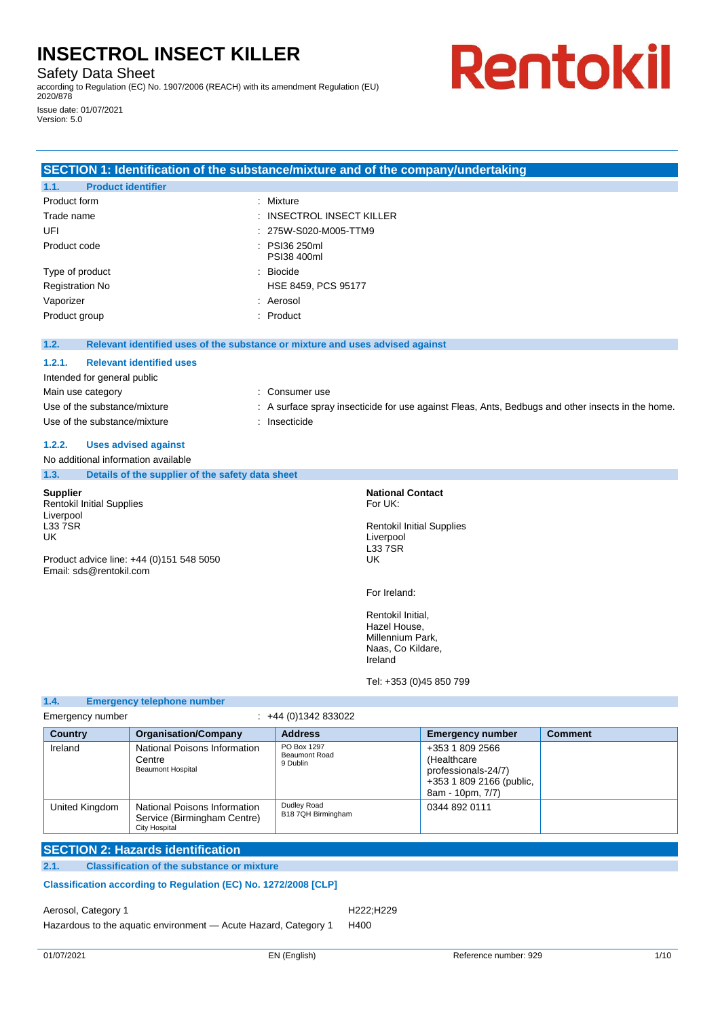Safety Data Sheet

Version: 5.0

according to Regulation (EC) No. 1907/2006 (REACH) with its amendment Regulation (EU) 2020/878 Issue date: 01/07/2021

# Rentokil

## **SECTION 1: Identification of the substance/mixture and of the company/undertaking**

| 1.1.         | <b>Product identifier</b> |                                      |
|--------------|---------------------------|--------------------------------------|
| Product form |                           | : Mixture                            |
| Trade name   |                           | $\therefore$ INSECTROL INSECT KILLER |
| UFI          |                           | : 275W-S020-M005-TTM9                |
| Product code |                           | : PSI36 250ml<br>PSI38 400ml         |
|              | Type of product           | $\therefore$ Biocide                 |
|              | <b>Registration No</b>    | HSE 8459, PCS 95177                  |
| Vaporizer    |                           | : Aerosol                            |
|              | Product group             | : Product                            |

**1.2. Relevant identified uses of the substance or mixture and uses advised against**

#### **1.2.1. Relevant identified uses**

| Intended for general public  |                                                                                                   |
|------------------------------|---------------------------------------------------------------------------------------------------|
| Main use category            | : Consumer use                                                                                    |
| Use of the substance/mixture | : A surface spray insecticide for use against Fleas, Ants, Bedbugs and other insects in the home. |
| Use of the substance/mixture | Insecticide                                                                                       |

## **1.2.2. Uses advised against**

|                 | No additional information available                                 |                                                          |
|-----------------|---------------------------------------------------------------------|----------------------------------------------------------|
| 1.3.            | Details of the supplier of the safety data sheet                    |                                                          |
| <b>Supplier</b> |                                                                     | <b>National Contact</b>                                  |
| Liverpool       | <b>Rentokil Initial Supplies</b>                                    | For UK:                                                  |
| L33 7SR<br>UK   |                                                                     | <b>Rentokil Initial Supplies</b><br>Liverpool<br>L33 7SR |
|                 | Product advice line: +44 (0)151 548 5050<br>Email: sds@rentokil.com | UK                                                       |
|                 |                                                                     | For Ireland:                                             |
|                 |                                                                     | Rentokil Initial,<br>Hazel House,<br>Millennium Park,    |

**1.4. Emergency telephone number**

Naas, Co Kildare,

Tel: +353 (0)45 850 799

Ireland

| Emergency number |                                                                              | +44 (0)1342 833022                              |                                                                                                       |                |
|------------------|------------------------------------------------------------------------------|-------------------------------------------------|-------------------------------------------------------------------------------------------------------|----------------|
| <b>Country</b>   | <b>Organisation/Company</b>                                                  | <b>Address</b>                                  | <b>Emergency number</b>                                                                               | <b>Comment</b> |
| Ireland          | National Poisons Information<br>Centre<br><b>Beaumont Hospital</b>           | PO Box 1297<br><b>Beaumont Road</b><br>9 Dublin | +353 1 809 2566<br>(Healthcare<br>professionals-24/7)<br>+353 1 809 2166 (public,<br>8am - 10pm, 7/7) |                |
| United Kingdom   | National Poisons Information<br>Service (Birmingham Centre)<br>City Hospital | Dudley Road<br>B18 7QH Birmingham               | 0344 892 0111                                                                                         |                |

## **SECTION 2: Hazards identification**

**2.1. Classification of the substance or mixture**

## **Classification according to Regulation (EC) No. 1272/2008 [CLP]**

Aerosol, Category 1 and 222;H229

Hazardous to the aquatic environment - Acute Hazard, Category 1 H400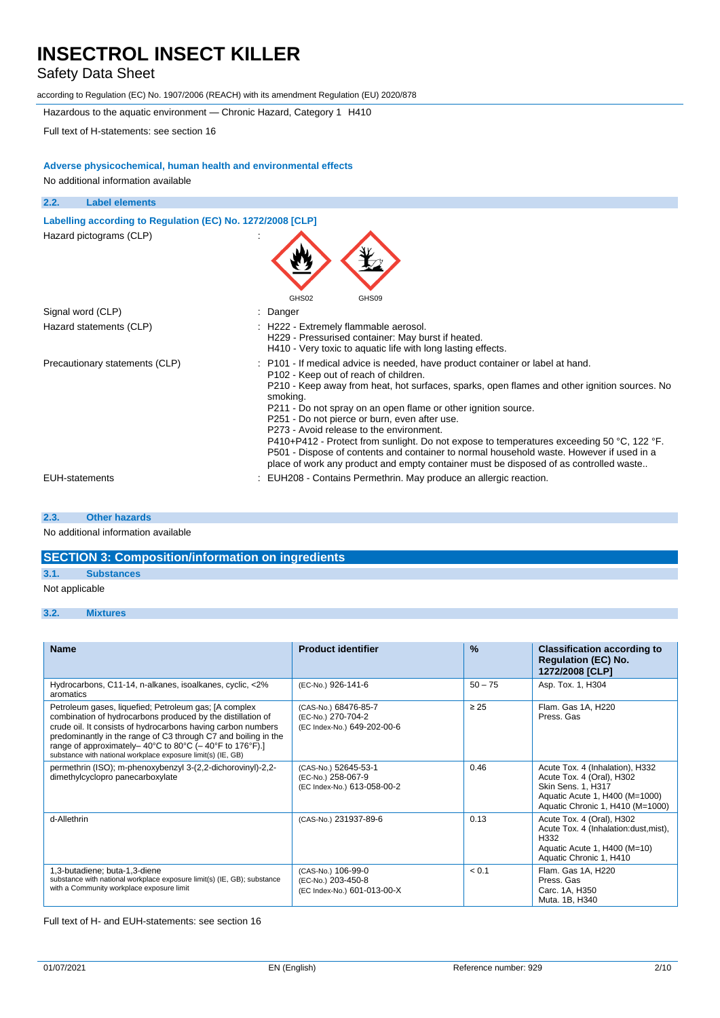# Safety Data Sheet

according to Regulation (EC) No. 1907/2006 (REACH) with its amendment Regulation (EU) 2020/878

Hazardous to the aquatic environment — Chronic Hazard, Category 1 H410

Full text of H-statements: see section 16

## **Adverse physicochemical, human health and environmental effects**

No additional information available

| 2.2.<br><b>Label elements</b>                              |                                                                                                                                                                                                                                                                                                                                                                                                                                                                                                                                                                                                                                                                                      |
|------------------------------------------------------------|--------------------------------------------------------------------------------------------------------------------------------------------------------------------------------------------------------------------------------------------------------------------------------------------------------------------------------------------------------------------------------------------------------------------------------------------------------------------------------------------------------------------------------------------------------------------------------------------------------------------------------------------------------------------------------------|
| Labelling according to Regulation (EC) No. 1272/2008 [CLP] |                                                                                                                                                                                                                                                                                                                                                                                                                                                                                                                                                                                                                                                                                      |
| Hazard pictograms (CLP)                                    | GHS02<br>GHS09                                                                                                                                                                                                                                                                                                                                                                                                                                                                                                                                                                                                                                                                       |
| Signal word (CLP)                                          | Danger                                                                                                                                                                                                                                                                                                                                                                                                                                                                                                                                                                                                                                                                               |
| Hazard statements (CLP)                                    | : H222 - Extremely flammable aerosol.<br>H229 - Pressurised container: May burst if heated.<br>H410 - Very toxic to aquatic life with long lasting effects.                                                                                                                                                                                                                                                                                                                                                                                                                                                                                                                          |
| Precautionary statements (CLP)                             | : P101 - If medical advice is needed, have product container or label at hand.<br>P102 - Keep out of reach of children.<br>P210 - Keep away from heat, hot surfaces, sparks, open flames and other ignition sources. No<br>smoking.<br>P211 - Do not spray on an open flame or other ignition source.<br>P251 - Do not pierce or burn, even after use.<br>P273 - Avoid release to the environment.<br>P410+P412 - Protect from sunlight. Do not expose to temperatures exceeding 50 °C, 122 °F.<br>P501 - Dispose of contents and container to normal household waste. However if used in a<br>place of work any product and empty container must be disposed of as controlled waste |
| <b>EUH-statements</b>                                      | EUH208 - Contains Permethrin. May produce an allergic reaction.                                                                                                                                                                                                                                                                                                                                                                                                                                                                                                                                                                                                                      |

#### **2.3. Other hazards**

No additional information available

# **SECTION 3: Composition/information on ingredients**

## **3.1. Substances**

Not applicable

## **3.2. Mixtures**

| <b>Name</b>                                                                                                                                                                                                                                                                                                                                                                      | <b>Product identifier</b>                                                 | $\frac{9}{6}$ | <b>Classification according to</b><br><b>Regulation (EC) No.</b><br>1272/2008 [CLP]                                                                      |
|----------------------------------------------------------------------------------------------------------------------------------------------------------------------------------------------------------------------------------------------------------------------------------------------------------------------------------------------------------------------------------|---------------------------------------------------------------------------|---------------|----------------------------------------------------------------------------------------------------------------------------------------------------------|
| Hydrocarbons, C11-14, n-alkanes, isoalkanes, cyclic, <2%<br>aromatics                                                                                                                                                                                                                                                                                                            | (EC-No.) 926-141-6                                                        | $50 - 75$     | Asp. Tox. 1, H304                                                                                                                                        |
| Petroleum gases, liquefied; Petroleum gas; [A complex<br>combination of hydrocarbons produced by the distillation of<br>crude oil. It consists of hydrocarbons having carbon numbers<br>predominantly in the range of C3 through C7 and boiling in the<br>range of approximately-40°C to 80°C (-40°F to 176°F).]<br>substance with national workplace exposure limit(s) (IE, GB) | (CAS-No.) 68476-85-7<br>(EC-No.) 270-704-2<br>(EC Index-No.) 649-202-00-6 | $\geq 25$     | Flam. Gas 1A, H220<br>Press, Gas                                                                                                                         |
| permethrin (ISO); m-phenoxybenzyl 3-(2,2-dichorovinyl)-2,2-<br>dimethylcyclopro panecarboxylate                                                                                                                                                                                                                                                                                  | (CAS-No.) 52645-53-1<br>(EC-No.) 258-067-9<br>(EC Index-No.) 613-058-00-2 | 0.46          | Acute Tox. 4 (Inhalation), H332<br>Acute Tox. 4 (Oral), H302<br>Skin Sens. 1, H317<br>Aquatic Acute 1, H400 (M=1000)<br>Aquatic Chronic 1, H410 (M=1000) |
| d-Allethrin                                                                                                                                                                                                                                                                                                                                                                      | (CAS-No.) 231937-89-6                                                     | 0.13          | Acute Tox. 4 (Oral), H302<br>Acute Tox. 4 (Inhalation: dust, mist),<br>H <sub>3</sub> 32<br>Aquatic Acute 1, H400 (M=10)<br>Aquatic Chronic 1, H410      |
| 1,3-butadiene; buta-1,3-diene<br>substance with national workplace exposure limit(s) (IE, GB); substance<br>with a Community workplace exposure limit                                                                                                                                                                                                                            | (CAS-No.) 106-99-0<br>(EC-No.) 203-450-8<br>(EC Index-No.) 601-013-00-X   | < 0.1         | Flam. Gas 1A, H220<br>Press, Gas<br>Carc. 1A, H350<br>Muta. 1B, H340                                                                                     |

Full text of H- and EUH-statements: see section 16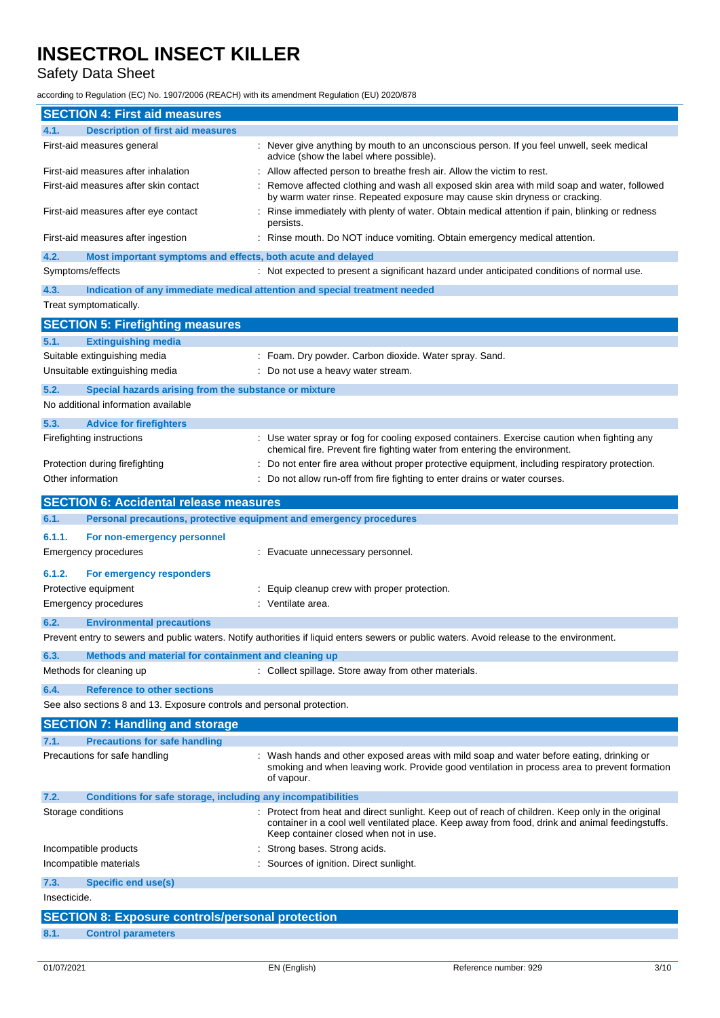# Safety Data Sheet

according to Regulation (EC) No. 1907/2006 (REACH) with its amendment Regulation (EU) 2020/878

| <b>SECTION 4: First aid measures</b>                                        |                                                                                                                                                                                                    |
|-----------------------------------------------------------------------------|----------------------------------------------------------------------------------------------------------------------------------------------------------------------------------------------------|
| 4.1.<br><b>Description of first aid measures</b>                            |                                                                                                                                                                                                    |
| First-aid measures general                                                  | Never give anything by mouth to an unconscious person. If you feel unwell, seek medical<br>advice (show the label where possible).                                                                 |
| First-aid measures after inhalation                                         | Allow affected person to breathe fresh air. Allow the victim to rest.                                                                                                                              |
| First-aid measures after skin contact                                       | Remove affected clothing and wash all exposed skin area with mild soap and water, followed<br>by warm water rinse. Repeated exposure may cause skin dryness or cracking.                           |
| First-aid measures after eye contact                                        | Rinse immediately with plenty of water. Obtain medical attention if pain, blinking or redness<br>persists.                                                                                         |
| First-aid measures after ingestion                                          | Rinse mouth. Do NOT induce vomiting. Obtain emergency medical attention.                                                                                                                           |
| 4.2.<br>Most important symptoms and effects, both acute and delayed         |                                                                                                                                                                                                    |
| Symptoms/effects                                                            | : Not expected to present a significant hazard under anticipated conditions of normal use.                                                                                                         |
| 4.3.<br>Treat symptomatically.                                              | Indication of any immediate medical attention and special treatment needed                                                                                                                         |
|                                                                             |                                                                                                                                                                                                    |
| <b>SECTION 5: Firefighting measures</b>                                     |                                                                                                                                                                                                    |
| <b>Extinguishing media</b><br>5.1.                                          |                                                                                                                                                                                                    |
| Suitable extinguishing media                                                | Foam. Dry powder. Carbon dioxide. Water spray. Sand.                                                                                                                                               |
| Unsuitable extinguishing media                                              | Do not use a heavy water stream.                                                                                                                                                                   |
| 5.2.<br>Special hazards arising from the substance or mixture               |                                                                                                                                                                                                    |
| No additional information available                                         |                                                                                                                                                                                                    |
| 5.3.<br><b>Advice for firefighters</b>                                      |                                                                                                                                                                                                    |
| Firefighting instructions                                                   | Use water spray or fog for cooling exposed containers. Exercise caution when fighting any<br>chemical fire. Prevent fire fighting water from entering the environment.                             |
| Protection during firefighting                                              | Do not enter fire area without proper protective equipment, including respiratory protection.                                                                                                      |
| Other information                                                           | Do not allow run-off from fire fighting to enter drains or water courses.                                                                                                                          |
| <b>SECTION 6: Accidental release measures</b>                               |                                                                                                                                                                                                    |
| 6.1.<br>Personal precautions, protective equipment and emergency procedures |                                                                                                                                                                                                    |
|                                                                             |                                                                                                                                                                                                    |
| 6.1.1.<br>For non-emergency personnel<br>Emergency procedures               | Evacuate unnecessary personnel.                                                                                                                                                                    |
| 6.1.2.<br>For emergency responders                                          |                                                                                                                                                                                                    |
| Protective equipment                                                        | Equip cleanup crew with proper protection.                                                                                                                                                         |
| Emergency procedures                                                        | Ventilate area.                                                                                                                                                                                    |
| 6.2.<br><b>Environmental precautions</b>                                    |                                                                                                                                                                                                    |
|                                                                             | Prevent entry to sewers and public waters. Notify authorities if liquid enters sewers or public waters. Avoid release to the environment.                                                          |
| 6.3.<br>Methods and material for containment and cleaning up                |                                                                                                                                                                                                    |
| Methods for cleaning up                                                     | : Collect spillage. Store away from other materials.                                                                                                                                               |
| 6.4.<br><b>Reference to other sections</b>                                  |                                                                                                                                                                                                    |
| See also sections 8 and 13. Exposure controls and personal protection.      |                                                                                                                                                                                                    |
| <b>SECTION 7: Handling and storage</b>                                      |                                                                                                                                                                                                    |
| <b>Precautions for safe handling</b><br>7.1.                                |                                                                                                                                                                                                    |
| Precautions for safe handling                                               | Wash hands and other exposed areas with mild soap and water before eating, drinking or                                                                                                             |
|                                                                             | smoking and when leaving work. Provide good ventilation in process area to prevent formation<br>of vapour.                                                                                         |
| Conditions for safe storage, including any incompatibilities<br>7.2.        |                                                                                                                                                                                                    |
| Storage conditions                                                          | Protect from heat and direct sunlight. Keep out of reach of children. Keep only in the original<br>container in a cool well ventilated place. Keep away from food, drink and animal feedingstuffs. |
|                                                                             | Keep container closed when not in use.                                                                                                                                                             |
| Incompatible products                                                       | Strong bases. Strong acids.                                                                                                                                                                        |
| Incompatible materials                                                      | Sources of ignition. Direct sunlight.                                                                                                                                                              |
| <b>Specific end use(s)</b><br>7.3.                                          |                                                                                                                                                                                                    |
| Insecticide.                                                                |                                                                                                                                                                                                    |
| <b>SECTION 8: Exposure controls/personal protection</b>                     |                                                                                                                                                                                                    |
| <b>Control parameters</b><br>8.1.                                           |                                                                                                                                                                                                    |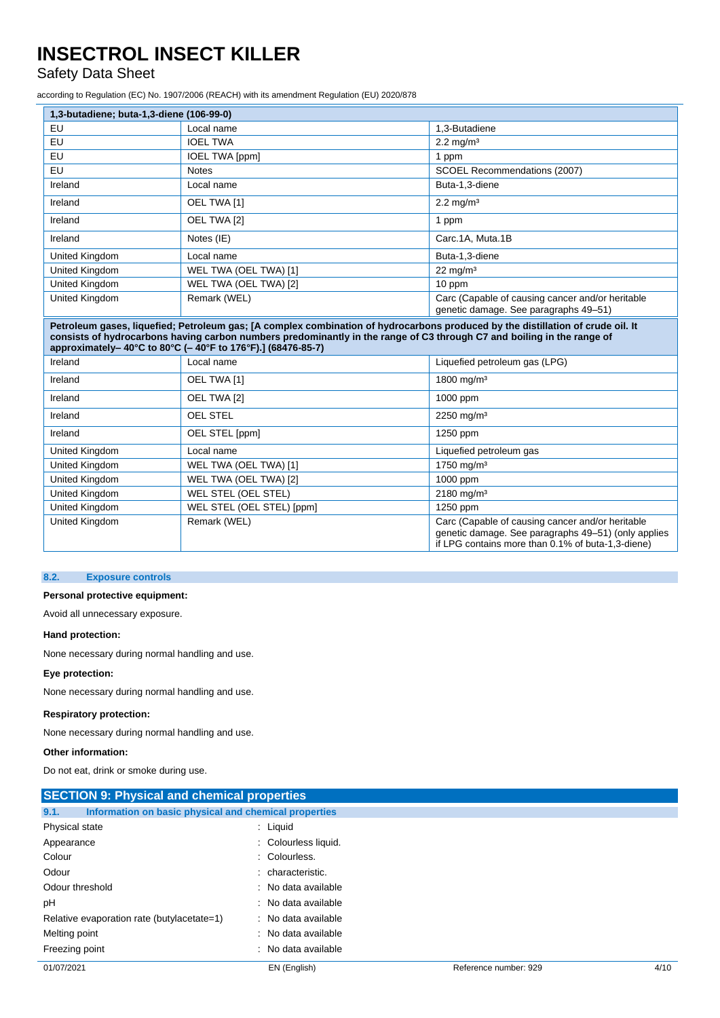# Safety Data Sheet

according to Regulation (EC) No. 1907/2006 (REACH) with its amendment Regulation (EU) 2020/878

| 1,3-butadiene; buta-1,3-diene (106-99-0)                                                                                                                                                                                                                                                                                |                       |                                                                                           |
|-------------------------------------------------------------------------------------------------------------------------------------------------------------------------------------------------------------------------------------------------------------------------------------------------------------------------|-----------------------|-------------------------------------------------------------------------------------------|
| EU                                                                                                                                                                                                                                                                                                                      | Local name            | 1,3-Butadiene                                                                             |
| EU                                                                                                                                                                                                                                                                                                                      | <b>IOEL TWA</b>       | $2.2 \text{ mg/m}^3$                                                                      |
| EU                                                                                                                                                                                                                                                                                                                      | <b>IOEL TWA [ppm]</b> | 1 ppm                                                                                     |
| EU                                                                                                                                                                                                                                                                                                                      | <b>Notes</b>          | SCOEL Recommendations (2007)                                                              |
| Ireland                                                                                                                                                                                                                                                                                                                 | Local name            | Buta-1,3-diene                                                                            |
| Ireland                                                                                                                                                                                                                                                                                                                 | OEL TWA [1]           | $2.2 \text{ mg/m}^3$                                                                      |
| Ireland                                                                                                                                                                                                                                                                                                                 | OEL TWA [2]           | 1 ppm                                                                                     |
| Ireland                                                                                                                                                                                                                                                                                                                 | Notes (IE)            | Carc.1A, Muta.1B                                                                          |
| United Kingdom                                                                                                                                                                                                                                                                                                          | Local name            | Buta-1,3-diene                                                                            |
| United Kingdom                                                                                                                                                                                                                                                                                                          | WEL TWA (OEL TWA) [1] | $22 \text{ mg/m}^3$                                                                       |
| United Kingdom                                                                                                                                                                                                                                                                                                          | WEL TWA (OEL TWA) [2] | 10 ppm                                                                                    |
| United Kingdom                                                                                                                                                                                                                                                                                                          | Remark (WEL)          | Carc (Capable of causing cancer and/or heritable<br>genetic damage. See paragraphs 49–51) |
| Petroleum gases, liquefied; Petroleum gas; [A complex combination of hydrocarbons produced by the distillation of crude oil. It<br>consists of hydrocarbons having carbon numbers predominantly in the range of C3 through C7 and boiling in the range of<br>approximately-40°C to 80°C (-40°F to 176°F).] (68476-85-7) |                       |                                                                                           |
| Ireland                                                                                                                                                                                                                                                                                                                 | Local name            | Liquefied petroleum gas (LPG)                                                             |

| Ireland        | Local name                | Liquefied petroleum gas (LPG)                                                                                                                                |
|----------------|---------------------------|--------------------------------------------------------------------------------------------------------------------------------------------------------------|
| Ireland        | OEL TWA [1]               | 1800 mg/m <sup>3</sup>                                                                                                                                       |
| Ireland        | OEL TWA [2]               | 1000 ppm                                                                                                                                                     |
| Ireland        | <b>OEL STEL</b>           | $2250 \text{ mg/m}^3$                                                                                                                                        |
| Ireland        | OEL STEL [ppm]            | 1250 ppm                                                                                                                                                     |
| United Kingdom | Local name                | Liquefied petroleum gas                                                                                                                                      |
| United Kingdom | WEL TWA (OEL TWA) [1]     | $1750 \text{ mg/m}^3$                                                                                                                                        |
| United Kingdom | WEL TWA (OEL TWA) [2]     | 1000 ppm                                                                                                                                                     |
| United Kingdom | WEL STEL (OEL STEL)       | $2180 \text{ mg/m}^3$                                                                                                                                        |
| United Kingdom | WEL STEL (OEL STEL) [ppm] | 1250 ppm                                                                                                                                                     |
| United Kingdom | Remark (WEL)              | Carc (Capable of causing cancer and/or heritable<br>genetic damage. See paragraphs 49-51) (only applies<br>if LPG contains more than 0.1% of buta-1,3-diene) |

#### **8.2. Exposure controls**

# **Personal protective equipment:**

Avoid all unnecessary exposure.

## **Hand protection:**

None necessary during normal handling and use.

# **Eye protection:**

None necessary during normal handling and use.

#### **Respiratory protection:**

None necessary during normal handling and use.

#### **Other information:**

Do not eat, drink or smoke during use.

| <b>SECTION 9: Physical and chemical properties</b>            |                      |                       |      |
|---------------------------------------------------------------|----------------------|-----------------------|------|
| Information on basic physical and chemical properties<br>9.1. |                      |                       |      |
| Physical state                                                | $:$ Liquid           |                       |      |
| Appearance                                                    | : Colourless liquid. |                       |      |
| Colour                                                        | : Colourless.        |                       |      |
| Odour                                                         | : characteristic.    |                       |      |
| Odour threshold                                               | : No data available  |                       |      |
| рH                                                            | : No data available  |                       |      |
| Relative evaporation rate (butylacetate=1)                    | : No data available  |                       |      |
| Melting point                                                 | : No data available  |                       |      |
| Freezing point                                                | : No data available  |                       |      |
| 01/07/2021                                                    | EN (English)         | Reference number: 929 | 4/10 |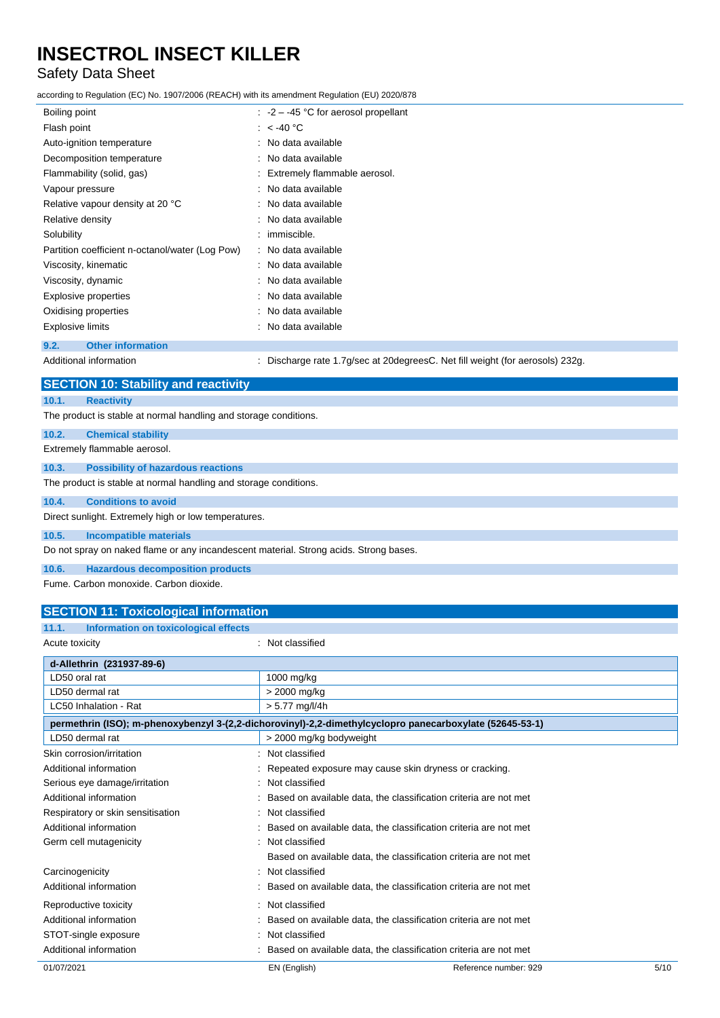# Safety Data Sheet

according to Regulation (EC) No. 1907/2006 (REACH) with its amendment Regulation (EU) 2020/878

| Boiling point                                   | $\therefore$ -2 – -45 °C for aerosol propellant |
|-------------------------------------------------|-------------------------------------------------|
| Flash point                                     | : $<$ -40 °C                                    |
| Auto-ignition temperature                       | : No data available                             |
| Decomposition temperature                       | : No data available                             |
| Flammability (solid, gas)                       | : Extremely flammable aerosol.                  |
| Vapour pressure                                 | : No data available                             |
| Relative vapour density at 20 °C                | : No data available                             |
| Relative density                                | : No data available                             |
| Solubility                                      | : immiscible.                                   |
| Partition coefficient n-octanol/water (Log Pow) | : No data available                             |
| Viscosity, kinematic                            | : No data available                             |
| Viscosity, dynamic                              | : No data available                             |
| Explosive properties                            | : No data available                             |
| Oxidising properties                            | : No data available                             |
| <b>Explosive limits</b>                         | : No data available                             |
| <b>Other information</b><br>9.2.                |                                                 |

Additional information **information** : Discharge rate 1.7g/sec at 20degreesC. Net fill weight (for aerosols) 232g.

| <b>SECTION 10: Stability and reactivity</b>                                           |
|---------------------------------------------------------------------------------------|
| 10.1.<br><b>Reactivity</b>                                                            |
| The product is stable at normal handling and storage conditions.                      |
| 10.2.<br><b>Chemical stability</b>                                                    |
| Extremely flammable aerosol.                                                          |
| <b>Possibility of hazardous reactions</b><br>10.3.                                    |
| The product is stable at normal handling and storage conditions.                      |
| <b>Conditions to avoid</b><br>10.4.                                                   |
| Direct sunlight. Extremely high or low temperatures.                                  |
| 10.5.<br><b>Incompatible materials</b>                                                |
| Do not spray on naked flame or any incandescent material. Strong acids. Strong bases. |
| 10.6.<br><b>Hazardous decomposition products</b>                                      |
| Fume, Carbon monoxide, Carbon dioxide,                                                |
| <b>SECTION 11: Toxicological information</b>                                          |
| Information on toxicological effects<br>11.1.                                         |
| : Not classified<br>Acute toxicity                                                    |
| d-Allethrin (231937-89-6)                                                             |

| <b>Q-AIIEUIIIIII (231931-09-0)</b> |                                                                                                          |                       |      |
|------------------------------------|----------------------------------------------------------------------------------------------------------|-----------------------|------|
| LD50 oral rat                      | 1000 mg/kg                                                                                               |                       |      |
| LD50 dermal rat                    | > 2000 mg/kg                                                                                             |                       |      |
| LC50 Inhalation - Rat              | $> 5.77$ mg/l/4h                                                                                         |                       |      |
|                                    | permethrin (ISO); m-phenoxybenzyl 3-(2,2-dichorovinyl)-2,2-dimethylcyclopro panecarboxylate (52645-53-1) |                       |      |
| LD50 dermal rat                    | > 2000 mg/kg bodyweight                                                                                  |                       |      |
| Skin corrosion/irritation          | : Not classified                                                                                         |                       |      |
| Additional information             | : Repeated exposure may cause skin dryness or cracking.                                                  |                       |      |
| Serious eye damage/irritation      | : Not classified                                                                                         |                       |      |
| Additional information             | : Based on available data, the classification criteria are not met                                       |                       |      |
| Respiratory or skin sensitisation  | : Not classified                                                                                         |                       |      |
| Additional information             | : Based on available data, the classification criteria are not met                                       |                       |      |
| Germ cell mutagenicity             | : Not classified                                                                                         |                       |      |
|                                    | Based on available data, the classification criteria are not met                                         |                       |      |
| Carcinogenicity                    | : Not classified                                                                                         |                       |      |
| Additional information             | : Based on available data, the classification criteria are not met                                       |                       |      |
| Reproductive toxicity              | : Not classified                                                                                         |                       |      |
| Additional information             | Based on available data, the classification criteria are not met                                         |                       |      |
| STOT-single exposure               | : Not classified                                                                                         |                       |      |
| Additional information             | : Based on available data, the classification criteria are not met                                       |                       |      |
| 01/07/2021                         | EN (English)                                                                                             | Reference number: 929 | 5/10 |
|                                    |                                                                                                          |                       |      |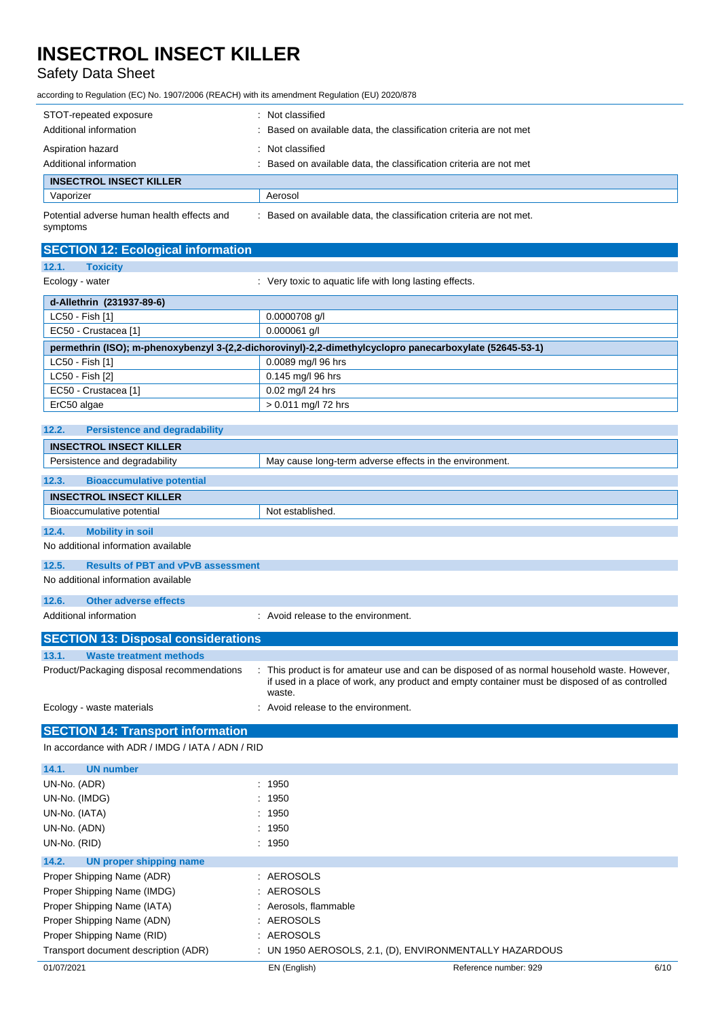# Safety Data Sheet

according to Regulation (EC) No. 1907/2006 (REACH) with its amendment Regulation (EU) 2020/878

| STOT-repeated exposure<br>Additional information       | Not classified<br>Based on available data, the classification criteria are not met |  |
|--------------------------------------------------------|------------------------------------------------------------------------------------|--|
| Aspiration hazard<br>Additional information            | Not classified<br>Based on available data, the classification criteria are not met |  |
| <b>INSECTROL INSECT KILLER</b>                         |                                                                                    |  |
| Vaporizer                                              | Aerosol                                                                            |  |
| Potential adverse human health effects and<br>symptoms | Based on available data, the classification criteria are not met.                  |  |

| <b>SECTION 12: Ecological information</b>                                                                |                                                         |  |  |
|----------------------------------------------------------------------------------------------------------|---------------------------------------------------------|--|--|
| 12.1.<br><b>Toxicity</b>                                                                                 |                                                         |  |  |
| Ecology - water                                                                                          | : Very toxic to aquatic life with long lasting effects. |  |  |
| d-Allethrin (231937-89-6)                                                                                |                                                         |  |  |
| LC50 - Fish [1]                                                                                          | 0.0000708 g/l                                           |  |  |
| EC50 - Crustacea [1]                                                                                     | $0.000061$ g/l                                          |  |  |
| permethrin (ISO); m-phenoxybenzyl 3-(2,2-dichorovinyl)-2,2-dimethylcyclopro panecarboxylate (52645-53-1) |                                                         |  |  |
| LC50 - Fish [1]                                                                                          | 0.0089 mg/l 96 hrs                                      |  |  |
| LC50 - Fish [2]                                                                                          | 0.145 mg/l 96 hrs                                       |  |  |
| EC50 - Crustacea [1]                                                                                     | 0.02 mg/l 24 hrs                                        |  |  |
| ErC50 algae                                                                                              | $> 0.011$ mg/l 72 hrs                                   |  |  |
|                                                                                                          |                                                         |  |  |

# **12.2. Persistence and degradability**

**12.6. Other adverse effects**

|                               | <b>INSECTROL INSECT KILLER</b>            |                                                         |  |  |
|-------------------------------|-------------------------------------------|---------------------------------------------------------|--|--|
| Persistence and degradability |                                           | May cause long-term adverse effects in the environment. |  |  |
|                               |                                           |                                                         |  |  |
| 12.3.                         | <b>Bioaccumulative potential</b>          |                                                         |  |  |
|                               | <b>INSECTROL INSECT KILLER</b>            |                                                         |  |  |
|                               | Bioaccumulative potential                 | Not established.                                        |  |  |
|                               |                                           |                                                         |  |  |
| 12.4.                         | <b>Mobility in soil</b>                   |                                                         |  |  |
|                               | No additional information available       |                                                         |  |  |
| 12.5.                         | <b>Results of PBT and vPvB assessment</b> |                                                         |  |  |
|                               | No additional information available       |                                                         |  |  |

| Additional information                     | : Avoid release to the environment.                                                                                                                                                                     |  |
|--------------------------------------------|---------------------------------------------------------------------------------------------------------------------------------------------------------------------------------------------------------|--|
| <b>SECTION 13: Disposal considerations</b> |                                                                                                                                                                                                         |  |
| 13.1.<br><b>Waste treatment methods</b>    |                                                                                                                                                                                                         |  |
| Product/Packaging disposal recommendations | : This product is for amateur use and can be disposed of as normal household waste. However,<br>if used in a place of work, any product and empty container must be disposed of as controlled<br>waste. |  |
| Ecology - waste materials                  | : Avoid release to the environment.                                                                                                                                                                     |  |

# **SECTION 14: Transport information**

In accordance with ADR / IMDG / IATA / ADN / RID

| <b>UN number</b><br>14.1.            |                       |                                                         |      |
|--------------------------------------|-----------------------|---------------------------------------------------------|------|
| UN-No. (ADR)                         | : 1950                |                                                         |      |
| UN-No. (IMDG)                        | : 1950                |                                                         |      |
| UN-No. (IATA)                        | : 1950                |                                                         |      |
| UN-No. (ADN)                         | : 1950                |                                                         |      |
| UN-No. (RID)                         | : 1950                |                                                         |      |
| UN proper shipping name<br>14.2.     |                       |                                                         |      |
| Proper Shipping Name (ADR)           | : AEROSOLS            |                                                         |      |
| Proper Shipping Name (IMDG)          | : AEROSOLS            |                                                         |      |
| Proper Shipping Name (IATA)          | : Aerosols, flammable |                                                         |      |
| Proper Shipping Name (ADN)           | : AEROSOLS            |                                                         |      |
| Proper Shipping Name (RID)           | : AEROSOLS            |                                                         |      |
| Transport document description (ADR) |                       | : UN 1950 AEROSOLS, 2.1, (D), ENVIRONMENTALLY HAZARDOUS |      |
| 01/07/2021                           | EN (English)          | Reference number: 929                                   | 6/10 |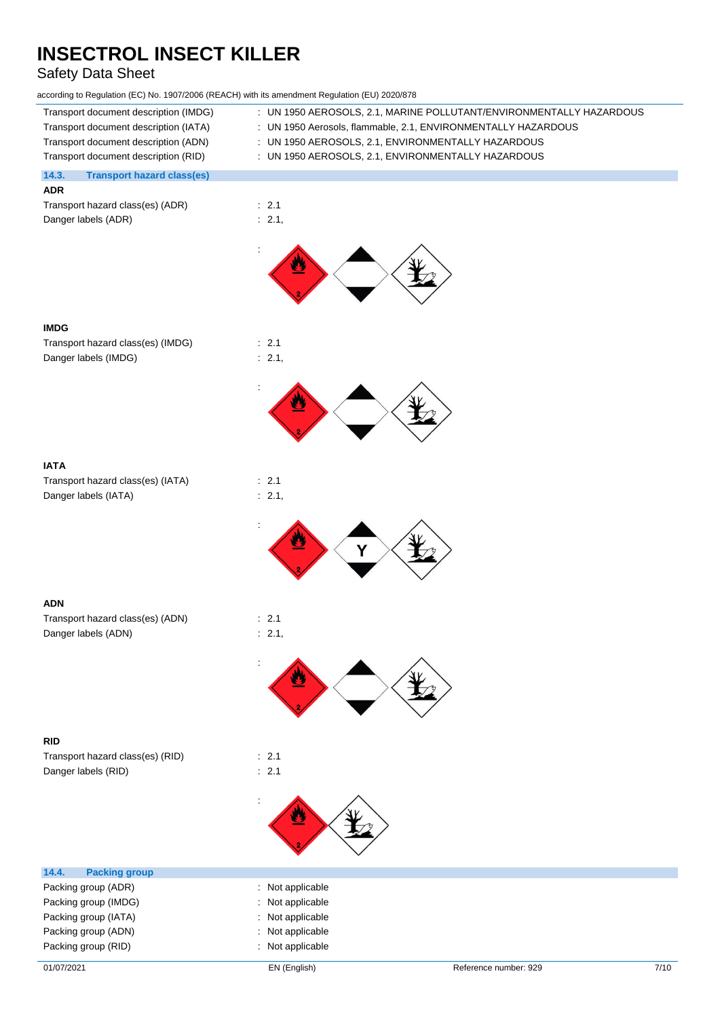# Safety Data Sheet

| according to Regulation (EC) No. 1907/2006 (REACH) with its amendment Regulation (EU) 2020/878 |  |  |  |
|------------------------------------------------------------------------------------------------|--|--|--|
|------------------------------------------------------------------------------------------------|--|--|--|

| according to Regulation (EC) No. 1907/2006 (REACH) with its amendment Regulation (EU) 2020/878 |                                                                     |
|------------------------------------------------------------------------------------------------|---------------------------------------------------------------------|
| Transport document description (IMDG)                                                          | : UN 1950 AEROSOLS, 2.1, MARINE POLLUTANT/ENVIRONMENTALLY HAZARDOUS |
| Transport document description (IATA)                                                          | : UN 1950 Aerosols, flammable, 2.1, ENVIRONMENTALLY HAZARDOUS       |
| Transport document description (ADN)                                                           | : UN 1950 AEROSOLS, 2.1, ENVIRONMENTALLY HAZARDOUS                  |
| Transport document description (RID)                                                           | : UN 1950 AEROSOLS, 2.1, ENVIRONMENTALLY HAZARDOUS                  |
| 14.3.<br><b>Transport hazard class(es)</b><br><b>ADR</b>                                       |                                                                     |
| Transport hazard class(es) (ADR)                                                               | : 2.1                                                               |
| Danger labels (ADR)                                                                            | : 2.1,                                                              |
|                                                                                                |                                                                     |
|                                                                                                |                                                                     |
|                                                                                                |                                                                     |
| <b>IMDG</b>                                                                                    |                                                                     |
| Transport hazard class(es) (IMDG)                                                              | : 2.1                                                               |
| Danger labels (IMDG)                                                                           | : 2.1,                                                              |
|                                                                                                |                                                                     |
|                                                                                                |                                                                     |
|                                                                                                |                                                                     |
| <b>IATA</b>                                                                                    |                                                                     |
| Transport hazard class(es) (IATA)                                                              | : 2.1                                                               |
| Danger labels (IATA)                                                                           | : 2.1,                                                              |
|                                                                                                |                                                                     |
|                                                                                                | Υ                                                                   |
| <b>ADN</b>                                                                                     |                                                                     |
| Transport hazard class(es) (ADN)                                                               | : 2.1                                                               |
| Danger labels (ADN)                                                                            | : 2.1,                                                              |
|                                                                                                |                                                                     |
|                                                                                                |                                                                     |
|                                                                                                |                                                                     |
| <b>RID</b>                                                                                     |                                                                     |
| Transport hazard class(es) (RID)                                                               | : 2.1                                                               |
| Danger labels (RID)                                                                            | $\therefore$ 2.1                                                    |
|                                                                                                |                                                                     |
| 14.4.<br><b>Packing group</b>                                                                  |                                                                     |
| Packing group (ADR)                                                                            | : Not applicable                                                    |
| Packing group (IMDG)                                                                           | Not applicable                                                      |
| Packing group (IATA)                                                                           | Not applicable                                                      |
| Packing group (ADN)                                                                            | : Not applicable                                                    |

Packing group (RID) **in the case of the case of the case of the case of the case of the case of the case of the case of the case of the case of the case of the case of the case of the case of the case of the case of the ca**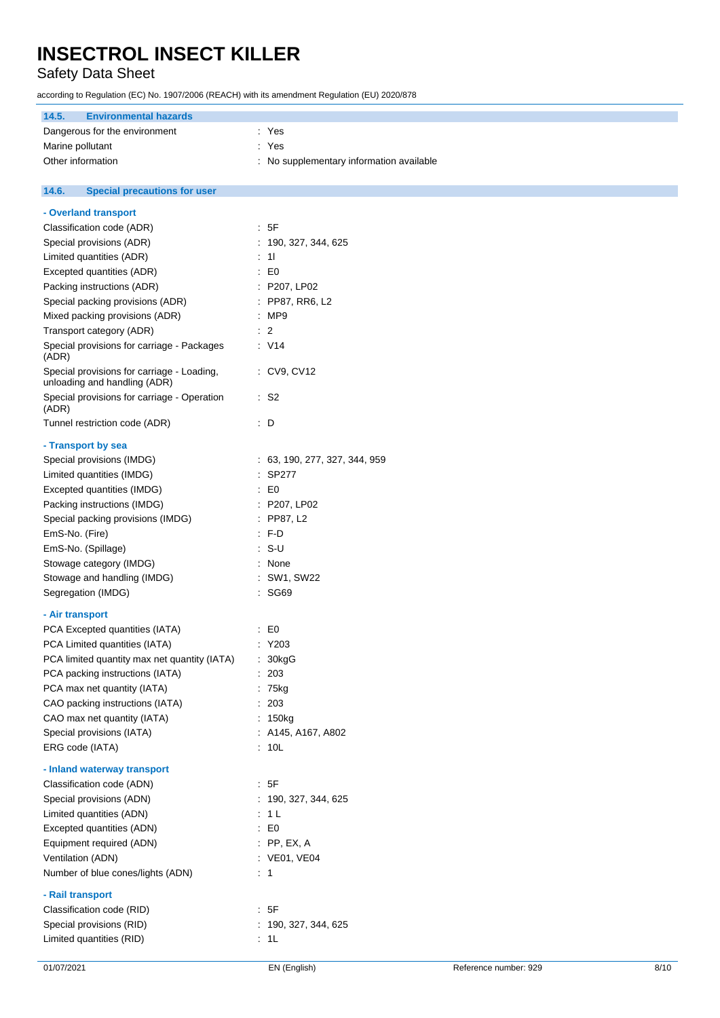# Safety Data Sheet

according to Regulation (EC) No. 1907/2006 (REACH) with its amendment Regulation (EU) 2020/878

| 14.5.<br><b>Environmental hazards</b> |                                          |
|---------------------------------------|------------------------------------------|
| Dangerous for the environment         | : Yes                                    |
| Marine pollutant                      | : Yes                                    |
| Other information                     | : No supplementary information available |

#### $14.6.$ **14.6. Special precautions for user**

| Special provisions (RID)<br>Limited quantities (RID)                        | : 190, 327, 344, 625<br>: 1L  |  |
|-----------------------------------------------------------------------------|-------------------------------|--|
| Classification code (RID)                                                   |                               |  |
| - Rail transport                                                            | .5F                           |  |
|                                                                             |                               |  |
| Number of blue cones/lights (ADN)                                           | $\therefore$ 1                |  |
| Ventilation (ADN)                                                           | : VE01, VE04                  |  |
| Equipment required (ADN)                                                    | : PP, EX, A                   |  |
| Excepted quantities (ADN)                                                   | $\colon$ EO                   |  |
| Limited quantities (ADN)                                                    | : 1 L                         |  |
| Special provisions (ADN)                                                    | : 190, 327, 344, 625          |  |
| Classification code (ADN)                                                   | .5F                           |  |
| - Inland waterway transport                                                 |                               |  |
| ERG code (IATA)                                                             | : 10L                         |  |
| Special provisions (IATA)                                                   | : A145, A167, A802            |  |
| CAO max net quantity (IATA)                                                 | : 150kg                       |  |
| CAO packing instructions (IATA)                                             | : 203                         |  |
| PCA max net quantity (IATA)                                                 | $: 75$ kg                     |  |
| PCA packing instructions (IATA)                                             | : 203                         |  |
| PCA limited quantity max net quantity (IATA)                                | : 30kgG                       |  |
| PCA Limited quantities (IATA)                                               | : Y203                        |  |
| PCA Excepted quantities (IATA)                                              | $\therefore$ EO               |  |
| - Air transport                                                             |                               |  |
| Segregation (IMDG)                                                          |                               |  |
|                                                                             | : SG69                        |  |
| Stowage and handling (IMDG)                                                 | : SW1, SW22                   |  |
| Stowage category (IMDG)                                                     | : None                        |  |
| EmS-No. (Spillage)                                                          | $: S-U$                       |  |
| EmS-No. (Fire)                                                              | $: F-D$                       |  |
| Special packing provisions (IMDG)                                           | $:$ PP87, L2                  |  |
| Packing instructions (IMDG)                                                 | : P207, LP02                  |  |
| Excepted quantities (IMDG)                                                  | $\therefore$ EO               |  |
| Limited quantities (IMDG)                                                   | $:$ SP277                     |  |
| Special provisions (IMDG)                                                   | : 63, 190, 277, 327, 344, 959 |  |
| - Transport by sea                                                          |                               |  |
| Tunnel restriction code (ADR)                                               | $\therefore$ D                |  |
| (ADR)                                                                       |                               |  |
| unloading and handling (ADR)<br>Special provisions for carriage - Operation | $\cdot$ S <sub>2</sub>        |  |
| Special provisions for carriage - Loading,                                  | : CV9, CV12                   |  |
| Special provisions for carriage - Packages<br>(ADR)                         | : V14                         |  |
| Transport category (ADR)                                                    | $\therefore$ 2                |  |
| Mixed packing provisions (ADR)                                              | : MP9                         |  |
| Special packing provisions (ADR)                                            | : PP87, RR6, L2               |  |
| Packing instructions (ADR)                                                  | : P207, LP02                  |  |
| Excepted quantities (ADR)                                                   | $\cdot$ EO                    |  |
| Limited quantities (ADR)                                                    | $\therefore$ 11               |  |
| Special provisions (ADR)                                                    | : 190, 327, 344, 625          |  |
| Classification code (ADR)                                                   | : 5F                          |  |
| - Overland transport                                                        |                               |  |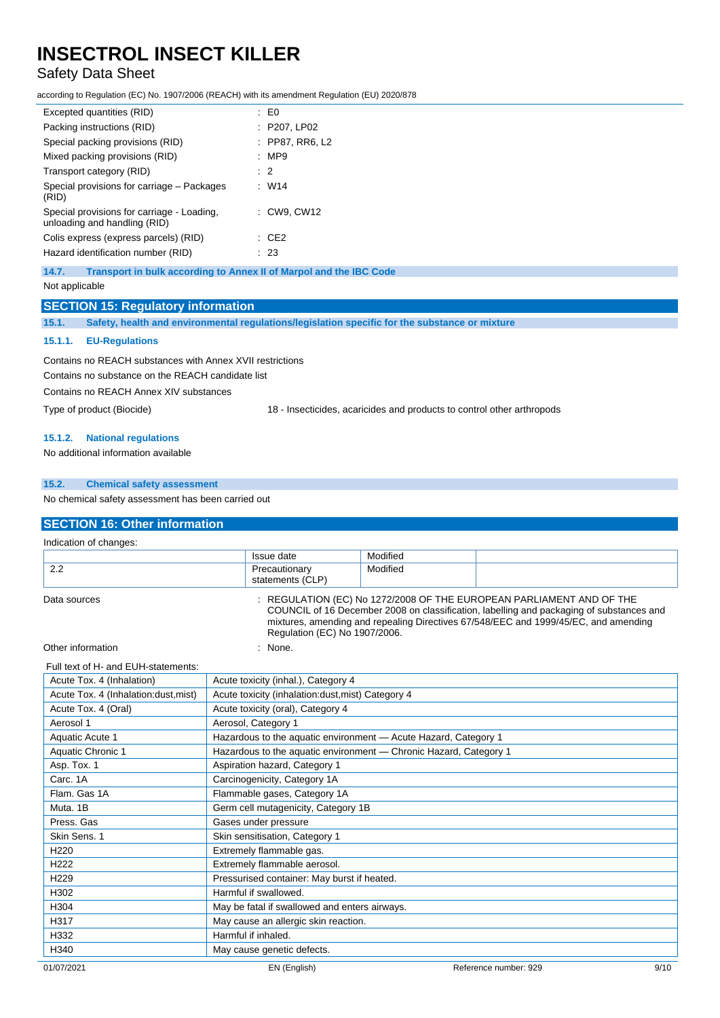# Safety Data Sheet

according to Regulation (EC) No. 1907/2006 (REACH) with its amendment Regulation (EU) 2020/878

| Excepted quantities (RID)                                                  | : E0             |  |
|----------------------------------------------------------------------------|------------------|--|
| Packing instructions (RID)                                                 | : P207, LP02     |  |
| Special packing provisions (RID)                                           | : PP87, RR6, L2  |  |
| Mixed packing provisions (RID)                                             | :MP9             |  |
| Transport category (RID)                                                   | $\therefore$ 2   |  |
| Special provisions for carriage – Packages<br>(RID)                        | : W14            |  |
| Special provisions for carriage - Loading,<br>unloading and handling (RID) | : CW9, CW12      |  |
| Colis express (express parcels) (RID)                                      | $\therefore$ CE2 |  |
| Hazard identification number (RID)                                         | : 23             |  |
|                                                                            |                  |  |

**14.7. Transport in bulk according to Annex II of Marpol and the IBC Code**

Not applicable

## **SECTION 15: Regulatory information**

**15.1. Safety, health and environmental regulations/legislation specific for the substance or mixture**

#### **15.1.1. EU-Regulations**

Contains no REACH substances with Annex XVII restrictions

Contains no substance on the REACH candidate list

Contains no REACH Annex XIV substances

Type of product (Biocide) 18 - Insecticides, acaricides and products to control other arthropods

#### **15.1.2. National regulations**

No additional information available

## **15.2. Chemical safety assessment**

No chemical safety assessment has been carried out

# **SECTION 16: Other information**

| Indication of changes: |                                   |                                                                                                                                                                                                                                                                                          |  |
|------------------------|-----------------------------------|------------------------------------------------------------------------------------------------------------------------------------------------------------------------------------------------------------------------------------------------------------------------------------------|--|
|                        | Issue date                        | Modified                                                                                                                                                                                                                                                                                 |  |
| 2.2                    | Precautionary<br>statements (CLP) | Modified                                                                                                                                                                                                                                                                                 |  |
| Data sources           |                                   | : REGULATION (EC) No 1272/2008 OF THE EUROPEAN PARLIAMENT AND OF THE<br>COUNCIL of 16 December 2008 on classification, labelling and packaging of substances and<br>mixtures, amending and repealing Directives 67/548/EEC and 1999/45/EC, and amending<br>Regulation (EC) No 1907/2006. |  |
| Other information      | None.                             |                                                                                                                                                                                                                                                                                          |  |

#### Full text of H- and EUH-statements:

| Acute Tox. 4 (Inhalation)             | Acute toxicity (inhal.), Category 4                               |                       |      |  |
|---------------------------------------|-------------------------------------------------------------------|-----------------------|------|--|
| Acute Tox. 4 (Inhalation: dust, mist) | Acute toxicity (inhalation:dust, mist) Category 4                 |                       |      |  |
| Acute Tox. 4 (Oral)                   | Acute toxicity (oral), Category 4                                 |                       |      |  |
| Aerosol 1                             | Aerosol, Category 1                                               |                       |      |  |
| Aquatic Acute 1                       | Hazardous to the aquatic environment - Acute Hazard, Category 1   |                       |      |  |
| Aquatic Chronic 1                     | Hazardous to the aquatic environment - Chronic Hazard, Category 1 |                       |      |  |
| Asp. Tox. 1                           | Aspiration hazard, Category 1                                     |                       |      |  |
| Carc. 1A                              | Carcinogenicity, Category 1A                                      |                       |      |  |
| Flam. Gas 1A                          | Flammable gases, Category 1A                                      |                       |      |  |
| Muta, 1B                              | Germ cell mutagenicity, Category 1B                               |                       |      |  |
| Press, Gas                            | Gases under pressure                                              |                       |      |  |
| Skin Sens. 1                          | Skin sensitisation, Category 1                                    |                       |      |  |
| H <sub>220</sub>                      | Extremely flammable gas.                                          |                       |      |  |
| H <sub>222</sub>                      | Extremely flammable aerosol.                                      |                       |      |  |
| H <sub>229</sub>                      | Pressurised container: May burst if heated.                       |                       |      |  |
| H302                                  | Harmful if swallowed.                                             |                       |      |  |
| H304                                  | May be fatal if swallowed and enters airways.                     |                       |      |  |
| H317                                  | May cause an allergic skin reaction.                              |                       |      |  |
| H332                                  | Harmful if inhaled.                                               |                       |      |  |
| H340                                  | May cause genetic defects.                                        |                       |      |  |
| 01/07/2021                            | EN (English)                                                      | Reference number: 929 | 9/10 |  |